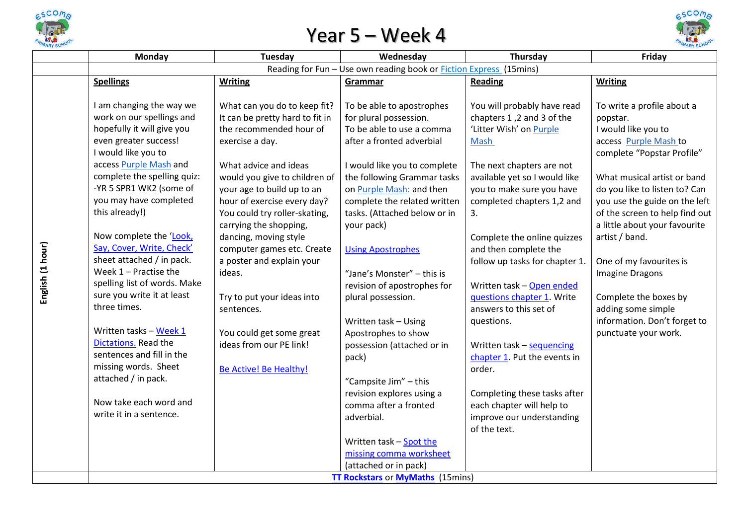

## Year 5 – Week 4



|                  | Monday                                                                                                                                                                                                                                                                                                                                                                                                                                                                                                                                                                                                                                               | Tuesday                                                                                                                                                                                                                                                                                                                                                                                                                                                                                                                    | Wednesday                                                                                                                                                                                                                                                                                                                                                                                                                                                                                                                                                                                                                                                      | Thursday                                                                                                                                                                                                                                                                                                                                                                                                                                                                                                                                                                                                 | Friday                                                                                                                                                                                                                                                                                                                                                                                                                                                                 |  |  |
|------------------|------------------------------------------------------------------------------------------------------------------------------------------------------------------------------------------------------------------------------------------------------------------------------------------------------------------------------------------------------------------------------------------------------------------------------------------------------------------------------------------------------------------------------------------------------------------------------------------------------------------------------------------------------|----------------------------------------------------------------------------------------------------------------------------------------------------------------------------------------------------------------------------------------------------------------------------------------------------------------------------------------------------------------------------------------------------------------------------------------------------------------------------------------------------------------------------|----------------------------------------------------------------------------------------------------------------------------------------------------------------------------------------------------------------------------------------------------------------------------------------------------------------------------------------------------------------------------------------------------------------------------------------------------------------------------------------------------------------------------------------------------------------------------------------------------------------------------------------------------------------|----------------------------------------------------------------------------------------------------------------------------------------------------------------------------------------------------------------------------------------------------------------------------------------------------------------------------------------------------------------------------------------------------------------------------------------------------------------------------------------------------------------------------------------------------------------------------------------------------------|------------------------------------------------------------------------------------------------------------------------------------------------------------------------------------------------------------------------------------------------------------------------------------------------------------------------------------------------------------------------------------------------------------------------------------------------------------------------|--|--|
|                  |                                                                                                                                                                                                                                                                                                                                                                                                                                                                                                                                                                                                                                                      |                                                                                                                                                                                                                                                                                                                                                                                                                                                                                                                            |                                                                                                                                                                                                                                                                                                                                                                                                                                                                                                                                                                                                                                                                |                                                                                                                                                                                                                                                                                                                                                                                                                                                                                                                                                                                                          |                                                                                                                                                                                                                                                                                                                                                                                                                                                                        |  |  |
|                  | <b>Spellings</b>                                                                                                                                                                                                                                                                                                                                                                                                                                                                                                                                                                                                                                     | <b>Writing</b>                                                                                                                                                                                                                                                                                                                                                                                                                                                                                                             | Grammar                                                                                                                                                                                                                                                                                                                                                                                                                                                                                                                                                                                                                                                        | <b>Reading</b>                                                                                                                                                                                                                                                                                                                                                                                                                                                                                                                                                                                           | <b>Writing</b>                                                                                                                                                                                                                                                                                                                                                                                                                                                         |  |  |
| English (1 hour) | I am changing the way we<br>work on our spellings and<br>hopefully it will give you<br>even greater success!<br>I would like you to<br>access Purple Mash and<br>complete the spelling quiz:<br>-YR 5 SPR1 WK2 (some of<br>you may have completed<br>this already!)<br>Now complete the 'Look,<br>Say, Cover, Write, Check'<br>sheet attached / in pack.<br>Week $1$ – Practise the<br>spelling list of words. Make<br>sure you write it at least<br>three times.<br>Written tasks - Week 1<br>Dictations. Read the<br>sentences and fill in the<br>missing words. Sheet<br>attached / in pack.<br>Now take each word and<br>write it in a sentence. | What can you do to keep fit?<br>It can be pretty hard to fit in<br>the recommended hour of<br>exercise a day.<br>What advice and ideas<br>would you give to children of<br>your age to build up to an<br>hour of exercise every day?<br>You could try roller-skating,<br>carrying the shopping,<br>dancing, moving style<br>computer games etc. Create<br>a poster and explain your<br>ideas.<br>Try to put your ideas into<br>sentences.<br>You could get some great<br>ideas from our PE link!<br>Be Active! Be Healthy! | Reading for Fun - Use own reading book or Fiction Express (15mins)<br>To be able to apostrophes<br>for plural possession.<br>To be able to use a comma<br>after a fronted adverbial<br>I would like you to complete<br>the following Grammar tasks<br>on Purple Mash: and then<br>complete the related written<br>tasks. (Attached below or in<br>your pack)<br><b>Using Apostrophes</b><br>"Jane's Monster" - this is<br>revision of apostrophes for<br>plural possession.<br>Written task - Using<br>Apostrophes to show<br>possession (attached or in<br>pack)<br>"Campsite Jim" - this<br>revision explores using a<br>comma after a fronted<br>adverbial. | You will probably have read<br>chapters 1,2 and 3 of the<br>'Litter Wish' on Purple<br>Mash<br>The next chapters are not<br>available yet so I would like<br>you to make sure you have<br>completed chapters 1,2 and<br>3.<br>Complete the online quizzes<br>and then complete the<br>follow up tasks for chapter 1.<br>Written task - Open ended<br>questions chapter 1. Write<br>answers to this set of<br>questions.<br>Written task - sequencing<br>chapter 1. Put the events in<br>order.<br>Completing these tasks after<br>each chapter will help to<br>improve our understanding<br>of the text. | To write a profile about a<br>popstar.<br>I would like you to<br>access Purple Mash to<br>complete "Popstar Profile"<br>What musical artist or band<br>do you like to listen to? Can<br>you use the guide on the left<br>of the screen to help find out<br>a little about your favourite<br>artist / band.<br>One of my favourites is<br><b>Imagine Dragons</b><br>Complete the boxes by<br>adding some simple<br>information. Don't forget to<br>punctuate your work. |  |  |
|                  |                                                                                                                                                                                                                                                                                                                                                                                                                                                                                                                                                                                                                                                      |                                                                                                                                                                                                                                                                                                                                                                                                                                                                                                                            | Written task - Spot the<br>missing comma worksheet                                                                                                                                                                                                                                                                                                                                                                                                                                                                                                                                                                                                             |                                                                                                                                                                                                                                                                                                                                                                                                                                                                                                                                                                                                          |                                                                                                                                                                                                                                                                                                                                                                                                                                                                        |  |  |
|                  |                                                                                                                                                                                                                                                                                                                                                                                                                                                                                                                                                                                                                                                      |                                                                                                                                                                                                                                                                                                                                                                                                                                                                                                                            | (attached or in pack)                                                                                                                                                                                                                                                                                                                                                                                                                                                                                                                                                                                                                                          |                                                                                                                                                                                                                                                                                                                                                                                                                                                                                                                                                                                                          |                                                                                                                                                                                                                                                                                                                                                                                                                                                                        |  |  |
|                  | <b>TT Rockstars or MyMaths (15mins)</b>                                                                                                                                                                                                                                                                                                                                                                                                                                                                                                                                                                                                              |                                                                                                                                                                                                                                                                                                                                                                                                                                                                                                                            |                                                                                                                                                                                                                                                                                                                                                                                                                                                                                                                                                                                                                                                                |                                                                                                                                                                                                                                                                                                                                                                                                                                                                                                                                                                                                          |                                                                                                                                                                                                                                                                                                                                                                                                                                                                        |  |  |